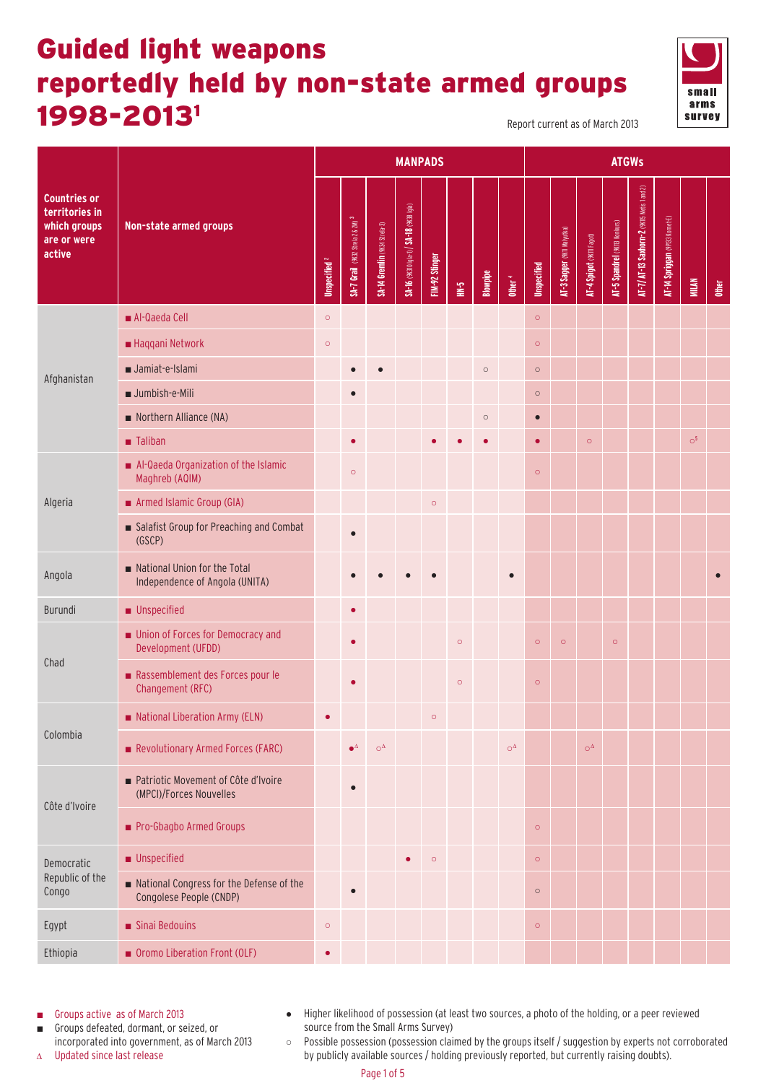## Guided light weapons reportedly held by non-state armed groups 1998-20131 Report current as of March 2013



| <b>Countries or</b><br>territories in<br>which groups<br>Non-state armed groups                                                                                                                                                                                                                                                                                                                                                                  |                      |              |
|--------------------------------------------------------------------------------------------------------------------------------------------------------------------------------------------------------------------------------------------------------------------------------------------------------------------------------------------------------------------------------------------------------------------------------------------------|----------------------|--------------|
| AT-7/ AT-13 Saxhorn-2 (9KI5 Metis 1 and 2)<br>SA-16 (9K310 lgla-1) / SA-18 (9K38 lgla)<br>AT-14 Spriggan (9P133 Kornet-E)<br>SA-7 Grail (9K32 Strela 2 & 2M) <sup>3</sup><br>AT-5 Spandrel (9KIB Konkurs)<br>SA-14 Gremlin (9K34 Strela-3)<br>AT-3 Sagger (9K11 Malyutka)<br>AT-4 Spigot (9KIII Fagot)<br>are or were<br>active<br>FIM-92 Stinger<br>Unspecified <sup>2</sup><br><b>Unspecified</b><br>Blowpipe<br>Other <sup>4</sup><br>$1 - 4$ | MILAN                | <b>Other</b> |
| Al-Qaeda Cell<br>$\circ$<br>$\circ$                                                                                                                                                                                                                                                                                                                                                                                                              |                      |              |
| Haqqani Network<br>$\circ$<br>$\circ$                                                                                                                                                                                                                                                                                                                                                                                                            |                      |              |
| Jamiat-e-Islami<br>$\circ$<br>$\circ$<br>Afghanistan                                                                                                                                                                                                                                                                                                                                                                                             |                      |              |
| Jumbish-e-Mili<br>$\circ$                                                                                                                                                                                                                                                                                                                                                                                                                        |                      |              |
| Northern Alliance (NA)<br>$\circ$<br>$\bullet$                                                                                                                                                                                                                                                                                                                                                                                                   |                      |              |
| ■ Taliban<br>$\bullet$<br>$\circ$<br>$\bullet$                                                                                                                                                                                                                                                                                                                                                                                                   | $\circ$ <sup>5</sup> |              |
| Al-Qaeda Organization of the Islamic<br>$\circ$<br>$\circ$<br>Maghreb (AQIM)                                                                                                                                                                                                                                                                                                                                                                     |                      |              |
| Armed Islamic Group (GIA)<br>Algeria<br>$\circ$                                                                                                                                                                                                                                                                                                                                                                                                  |                      |              |
| Salafist Group for Preaching and Combat<br>$\bullet$<br>(GSCP)                                                                                                                                                                                                                                                                                                                                                                                   |                      |              |
| National Union for the Total<br>Angola<br>$\bullet$<br>Independence of Angola (UNITA)                                                                                                                                                                                                                                                                                                                                                            |                      |              |
| <b>Unspecified</b><br>Burundi<br>$\bullet$                                                                                                                                                                                                                                                                                                                                                                                                       |                      |              |
| Union of Forces for Democracy and<br>$\circ$<br>$\circ$<br>$\circ$<br>$\circ$<br>Development (UFDD)                                                                                                                                                                                                                                                                                                                                              |                      |              |
| Chad<br>Rassemblement des Forces pour le<br>$\circ$<br>$\circ$<br>Changement (RFC)                                                                                                                                                                                                                                                                                                                                                               |                      |              |
| National Liberation Army (ELN)<br>$\circ$<br>$\bullet$                                                                                                                                                                                                                                                                                                                                                                                           |                      |              |
| Colombia<br>Revolutionary Armed Forces (FARC)<br>$\mathrm{O}^{\Delta}$<br>$\bullet^{\Delta}$<br>$O^{\Delta}$<br>$O^{\Delta}$                                                                                                                                                                                                                                                                                                                     |                      |              |
| Patriotic Movement of Côte d'Ivoire<br>$\bullet$<br>(MPCI)/Forces Nouvelles<br>Côte d'Ivoire                                                                                                                                                                                                                                                                                                                                                     |                      |              |
| Pro-Gbagbo Armed Groups<br>$\circ$                                                                                                                                                                                                                                                                                                                                                                                                               |                      |              |
| <b>Unspecified</b><br>$\circ$<br>$\circ$<br>$\bullet$<br>Democratic                                                                                                                                                                                                                                                                                                                                                                              |                      |              |
| Republic of the<br>National Congress for the Defense of the<br>Congo<br>$\circ$<br>$\bullet$<br>Congolese People (CNDP)                                                                                                                                                                                                                                                                                                                          |                      |              |
| Sinai Bedouins<br>Egypt<br>$\circ$<br>$\circ$                                                                                                                                                                                                                                                                                                                                                                                                    |                      |              |
| Ethiopia<br>Oromo Liberation Front (OLF)<br>$\bullet$                                                                                                                                                                                                                                                                                                                                                                                            |                      |              |

■ Groups active as of March 2013

■ Groups defeated, dormant, or seized, or incorporated into government, as of March 2013 ● Higher likelihood of possession (at least two sources, a photo of the holding, or a peer reviewed source from the Small Arms Survey)

∆ Updated since last release

○ Possible possession (possession claimed by the groups itself / suggestion by experts not corroborated by publicly available sources / holding previously reported, but currently raising doubts).

Page 1 of 5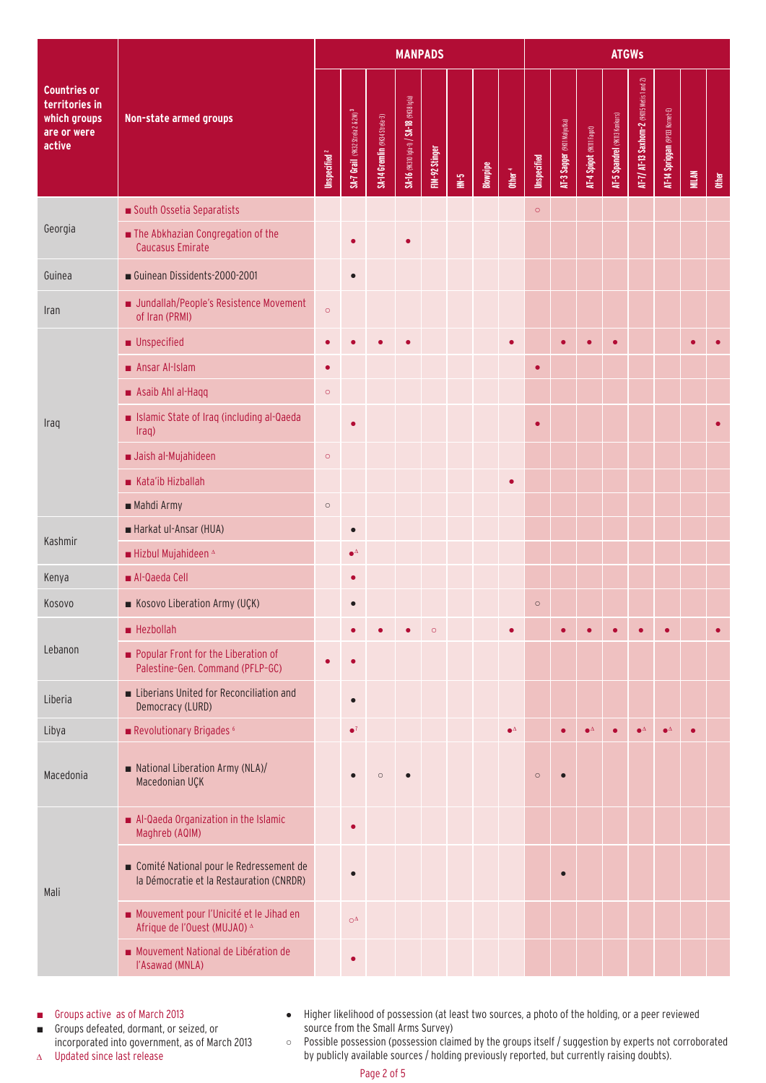|                                                                         | Non-state armed groups                                                              |         | <b>MANPADS</b>                               |                               |                                          |                |               |          |                    |                    |                             | <b>ATGWs</b>              |                               |                                             |                                 |              |              |  |  |  |
|-------------------------------------------------------------------------|-------------------------------------------------------------------------------------|---------|----------------------------------------------|-------------------------------|------------------------------------------|----------------|---------------|----------|--------------------|--------------------|-----------------------------|---------------------------|-------------------------------|---------------------------------------------|---------------------------------|--------------|--------------|--|--|--|
| Countries or<br>territories in<br>which groups<br>are or were<br>active |                                                                                     |         | SA-7 Grail (9K32 Strela 2 & 2M) <sup>3</sup> | SA-14 Gremlin (9K34 Strela-3) | SA-16 (9K310 Igla-1) / SA-18 (9K38 Igla) | FIM-92 Stinger | $\frac{1}{2}$ | Blowpipe | Other <sup>4</sup> | <b>Unspecified</b> | AT-3 Sagger (9KII Malyutka) | AT-4 Spigot (9KIII Fagot) | AT-5 Spandrel (9K113 Konkurs) | AT-7/ AT-13 Saxhorn-2 (9KII5 Metis 1 and 2) | AT-14 Spriggan (PPI33 Kornet-E) | <b>MILAN</b> | <b>other</b> |  |  |  |
|                                                                         | South Ossetia Separatists                                                           |         |                                              |                               |                                          |                |               |          |                    | $\circ$            |                             |                           |                               |                                             |                                 |              |              |  |  |  |
| Georgia                                                                 | The Abkhazian Congregation of the<br><b>Caucasus Emirate</b>                        |         |                                              |                               |                                          |                |               |          |                    |                    |                             |                           |                               |                                             |                                 |              |              |  |  |  |
| Guinea                                                                  | Guinean Dissidents-2000-2001                                                        |         | $\bullet$                                    |                               |                                          |                |               |          |                    |                    |                             |                           |                               |                                             |                                 |              |              |  |  |  |
| Iran                                                                    | Jundallah/People's Resistence Movement<br>of Iran (PRMI)                            | $\circ$ |                                              |                               |                                          |                |               |          |                    |                    |                             |                           |                               |                                             |                                 |              |              |  |  |  |
|                                                                         | <b>Unspecified</b>                                                                  |         |                                              |                               |                                          |                |               |          |                    |                    |                             |                           | $\bullet$                     |                                             |                                 |              |              |  |  |  |
|                                                                         | Ansar Al-Islam                                                                      |         |                                              |                               |                                          |                |               |          |                    | $\bullet$          |                             |                           |                               |                                             |                                 |              |              |  |  |  |
|                                                                         | Asaib Ahl al-Haqq                                                                   | $\circ$ |                                              |                               |                                          |                |               |          |                    |                    |                             |                           |                               |                                             |                                 |              |              |  |  |  |
| Iraq                                                                    | Islamic State of Iraq (including al-Qaeda<br>Iraq)                                  |         |                                              |                               |                                          |                |               |          |                    | $\bullet$          |                             |                           |                               |                                             |                                 |              |              |  |  |  |
|                                                                         | Jaish al-Mujahideen                                                                 | $\circ$ |                                              |                               |                                          |                |               |          |                    |                    |                             |                           |                               |                                             |                                 |              |              |  |  |  |
|                                                                         | Kata'ib Hizballah                                                                   |         |                                              |                               |                                          |                |               |          |                    |                    |                             |                           |                               |                                             |                                 |              |              |  |  |  |
|                                                                         | Mahdi Army                                                                          | $\circ$ |                                              |                               |                                          |                |               |          |                    |                    |                             |                           |                               |                                             |                                 |              |              |  |  |  |
| Kashmir                                                                 | Harkat ul-Ansar (HUA)                                                               |         | $\bullet$                                    |                               |                                          |                |               |          |                    |                    |                             |                           |                               |                                             |                                 |              |              |  |  |  |
|                                                                         | Hizbul Mujahideen $^{\Delta}$                                                       |         | $\bullet^\Delta$                             |                               |                                          |                |               |          |                    |                    |                             |                           |                               |                                             |                                 |              |              |  |  |  |
| Kenya                                                                   | Al-Qaeda Cell                                                                       |         |                                              |                               |                                          |                |               |          |                    |                    |                             |                           |                               |                                             |                                 |              |              |  |  |  |
| Kosovo                                                                  | Kosovo Liberation Army (UÇK)                                                        |         |                                              |                               |                                          |                |               |          |                    | $\circ$            |                             |                           |                               |                                             |                                 |              |              |  |  |  |
|                                                                         | Hezbollah                                                                           |         |                                              |                               |                                          | $\circ$        |               |          |                    |                    |                             |                           |                               |                                             |                                 |              |              |  |  |  |
| Lebanon                                                                 | Popular Front for the Liberation of<br>Palestine-Gen. Command (PFLP-GC)             |         |                                              |                               |                                          |                |               |          |                    |                    |                             |                           |                               |                                             |                                 |              |              |  |  |  |
| Liberia                                                                 | Liberians United for Reconciliation and<br>Democracy (LURD)                         |         | $\bullet$                                    |                               |                                          |                |               |          |                    |                    |                             |                           |                               |                                             |                                 |              |              |  |  |  |
| Libya                                                                   | Revolutionary Brigades <sup>6</sup>                                                 |         | $\bullet^7$                                  |                               |                                          |                |               |          | $\bullet^\Delta$   |                    |                             |                           |                               |                                             | $\bullet^{\Delta}$              |              |              |  |  |  |
| Macedonia                                                               | National Liberation Army (NLA)/<br>Macedonian UÇK                                   |         |                                              | n                             |                                          |                |               |          |                    | $\circ$            |                             |                           |                               |                                             |                                 |              |              |  |  |  |
| Mali                                                                    | Al-Qaeda Organization in the Islamic<br>Maghreb (AQIM)                              |         |                                              |                               |                                          |                |               |          |                    |                    |                             |                           |                               |                                             |                                 |              |              |  |  |  |
|                                                                         | Comité National pour le Redressement de<br>la Démocratie et la Restauration (CNRDR) |         |                                              |                               |                                          |                |               |          |                    |                    | $\bullet$                   |                           |                               |                                             |                                 |              |              |  |  |  |
|                                                                         | Mouvement pour l'Unicité et le Jihad en<br>Afrique de l'Ouest (MUJAO) ^             |         | $\bigcirc^\Delta$                            |                               |                                          |                |               |          |                    |                    |                             |                           |                               |                                             |                                 |              |              |  |  |  |
|                                                                         | Mouvement National de Libération de<br>l'Asawad (MNLA)                              |         |                                              |                               |                                          |                |               |          |                    |                    |                             |                           |                               |                                             |                                 |              |              |  |  |  |

■ Groups active as of March 2013

■ Groups defeated, dormant, or seized, or incorporated into government, as of March 2013

- ∆ Updated since last release
- Higher likelihood of possession (at least two sources, a photo of the holding, or a peer reviewed source from the Small Arms Survey)
- Possible possession (possession claimed by the groups itself / suggestion by experts not corroborated by publicly available sources / holding previously reported, but currently raising doubts).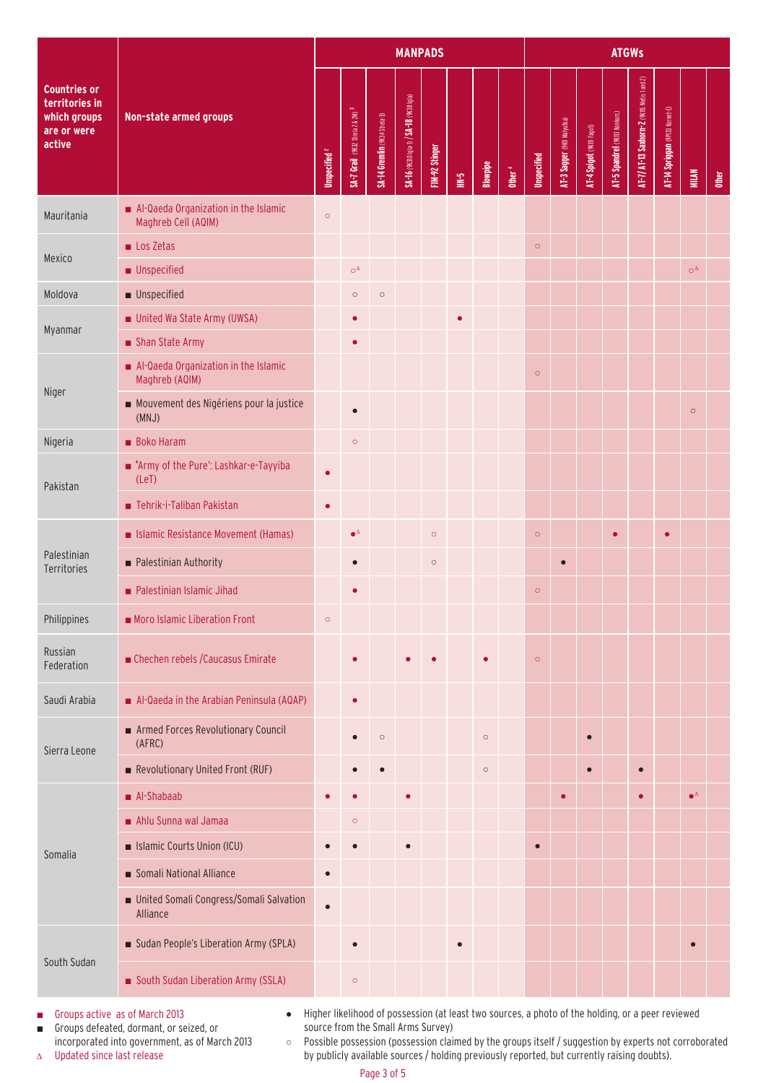|                                                                                | Non-state armed groups                                      |           |                                              |                               | <b>MANPADS</b>                           |                |                |          | <b>ATGWs</b> |                    |                             |                           |                               |                                             |                                |                     |              |
|--------------------------------------------------------------------------------|-------------------------------------------------------------|-----------|----------------------------------------------|-------------------------------|------------------------------------------|----------------|----------------|----------|--------------|--------------------|-----------------------------|---------------------------|-------------------------------|---------------------------------------------|--------------------------------|---------------------|--------------|
| <b>Countries or</b><br>territories in<br>which groups<br>are or were<br>active |                                                             |           | SA-7 Grail (9K32 Strela 2 & 2M) <sup>3</sup> | SA-14 Gremlin (9K34 Strela-3) | SA-16 (9K310 Igla-1) / SA-18 (9K38 Igla) | FIM-92 Stinger | $\mathbb{R}^2$ | Blowpipe | $0$ ther $4$ | <b>Unspecified</b> | AT-3 Sagger (9KII Malyutka) | AT-4 Spigot (9KIII Fagot) | AT-5 Spandrel (9KII3 Konkurs) | AT-7/ AT-13 Saxhorn-2 (9KII5 Metis 1 and 2) | AT-14 Spriggan (9P133 Komet-E) | <b>MILAN</b>        | <b>Other</b> |
| Mauritania                                                                     | Al-Qaeda Organization in the Islamic<br>Maghreb Cell (AQIM) | $\circ$   |                                              |                               |                                          |                |                |          |              |                    |                             |                           |                               |                                             |                                |                     |              |
|                                                                                | Los Zetas                                                   |           |                                              |                               |                                          |                |                |          |              | $\circ$            |                             |                           |                               |                                             |                                |                     |              |
| Mexico                                                                         | <b>Unspecified</b>                                          |           | $O^{\Delta}$                                 |                               |                                          |                |                |          |              |                    |                             |                           |                               |                                             |                                | $\bigcirc^{\Delta}$ |              |
| Moldova                                                                        | <b>Unspecified</b>                                          |           | $\circ$                                      | $\circ$                       |                                          |                |                |          |              |                    |                             |                           |                               |                                             |                                |                     |              |
| Myanmar                                                                        | United Wa State Army (UWSA)                                 |           |                                              |                               |                                          |                |                |          |              |                    |                             |                           |                               |                                             |                                |                     |              |
|                                                                                | Shan State Army                                             |           |                                              |                               |                                          |                |                |          |              |                    |                             |                           |                               |                                             |                                |                     |              |
|                                                                                | Al-Qaeda Organization in the Islamic<br>Maghreb (AQIM)      |           |                                              |                               |                                          |                |                |          |              | $\circ$            |                             |                           |                               |                                             |                                |                     |              |
| Niger                                                                          | Mouvement des Nigériens pour la justice<br>(MNJ)            |           | $\bullet$                                    |                               |                                          |                |                |          |              |                    |                             |                           |                               |                                             |                                | $\circ$             |              |
| Nigeria                                                                        | <b>Boko Haram</b>                                           |           | $\circ$                                      |                               |                                          |                |                |          |              |                    |                             |                           |                               |                                             |                                |                     |              |
| Pakistan                                                                       | ■ 'Army of the Pure': Lashkar-e-Tayyiba<br>(LeT)            |           |                                              |                               |                                          |                |                |          |              |                    |                             |                           |                               |                                             |                                |                     |              |
|                                                                                | ■ Tehrik-i-Taliban Pakistan                                 | $\bullet$ |                                              |                               |                                          |                |                |          |              |                    |                             |                           |                               |                                             |                                |                     |              |
|                                                                                | Islamic Resistance Movement (Hamas)                         |           | $\bullet^{\Delta}$                           |                               |                                          | $\circ$        |                |          |              | $\circ$            |                             |                           | $\bullet$                     |                                             | $\bullet$                      |                     |              |
| Palestinian<br>Territories                                                     | ■ Palestinian Authority                                     |           |                                              |                               |                                          | $\circ$        |                |          |              |                    | $\bullet$                   |                           |                               |                                             |                                |                     |              |
|                                                                                | Palestinian Islamic Jihad                                   |           |                                              |                               |                                          |                |                |          |              | $\circ$            |                             |                           |                               |                                             |                                |                     |              |
| Philippines                                                                    | Moro Islamic Liberation Front                               | $\circ$   |                                              |                               |                                          |                |                |          |              |                    |                             |                           |                               |                                             |                                |                     |              |
| Russian<br>Federation                                                          | Chechen rebels / Caucasus Emirate                           |           |                                              |                               |                                          |                |                |          |              | $\circ$            |                             |                           |                               |                                             |                                |                     |              |
| Saudi Arabia                                                                   | Al-Qaeda in the Arabian Peninsula (AQAP)                    |           | $\bullet$                                    |                               |                                          |                |                |          |              |                    |                             |                           |                               |                                             |                                |                     |              |
| Sierra Leone                                                                   | Armed Forces Revolutionary Council<br>(AFRC)                |           |                                              | $\circ$                       |                                          |                |                | $\circ$  |              |                    |                             | $\bullet$                 |                               |                                             |                                |                     |              |
|                                                                                | Revolutionary United Front (RUF)                            |           |                                              |                               |                                          |                |                | $\circ$  |              |                    |                             | $\bullet$                 |                               | $\bullet$                                   |                                |                     |              |
|                                                                                | $\blacksquare$ Al-Shabaab                                   |           |                                              |                               |                                          |                |                |          |              |                    |                             |                           |                               | $\bullet$                                   |                                | $\bullet^\Delta$    |              |
| Somalia                                                                        | Ahlu Sunna wal Jamaa                                        |           | $\circ$                                      |                               |                                          |                |                |          |              |                    |                             |                           |                               |                                             |                                |                     |              |
|                                                                                | Islamic Courts Union (ICU)                                  |           |                                              |                               |                                          |                |                |          |              | $\bullet$          |                             |                           |                               |                                             |                                |                     |              |
|                                                                                | Somali National Alliance                                    | $\bullet$ |                                              |                               |                                          |                |                |          |              |                    |                             |                           |                               |                                             |                                |                     |              |
|                                                                                | United Somali Congress/Somali Salvation<br>Alliance         | $\bullet$ |                                              |                               |                                          |                |                |          |              |                    |                             |                           |                               |                                             |                                |                     |              |
|                                                                                | Sudan People's Liberation Army (SPLA)                       |           | $\bullet$                                    |                               |                                          |                | г              |          |              |                    |                             |                           |                               |                                             |                                |                     |              |
| South Sudan                                                                    | South Sudan Liberation Army (SSLA)                          |           | $\circ$                                      |                               |                                          |                |                |          |              |                    |                             |                           |                               |                                             |                                |                     |              |

■ Groups active as of March 2013

■ Groups defeated, dormant, or seized, or incorporated into government, as of March 2013 ● Higher likelihood of possession (at least two sources, a photo of the holding, or a peer reviewed source from the Small Arms Survey)

∆ Updated since last release

○ Possible possession (possession claimed by the groups itself / suggestion by experts not corroborated by publicly available sources / holding previously reported, but currently raising doubts).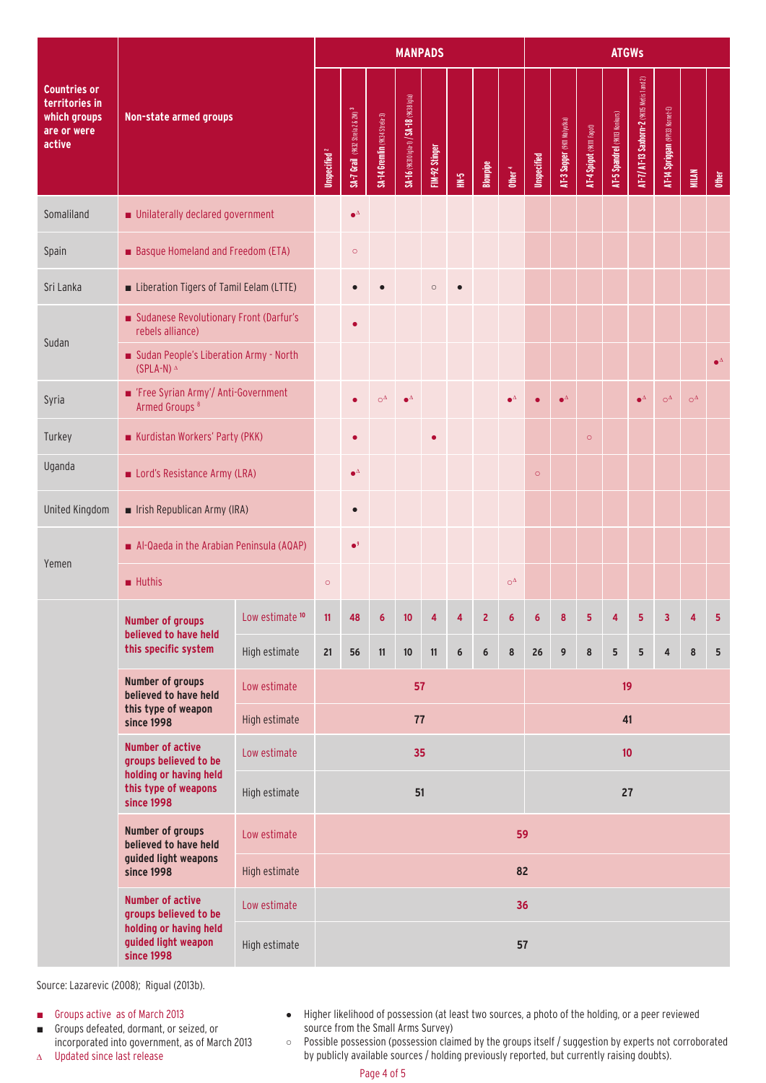|                                                                                |                                                                                     |                            |                          | <b>MANPADS</b>                               |                               |                                          |                |                  |          |                    |             |                             | <b>ATGWs</b>              |                               |                                             |                                |              |                    |  |  |  |
|--------------------------------------------------------------------------------|-------------------------------------------------------------------------------------|----------------------------|--------------------------|----------------------------------------------|-------------------------------|------------------------------------------|----------------|------------------|----------|--------------------|-------------|-----------------------------|---------------------------|-------------------------------|---------------------------------------------|--------------------------------|--------------|--------------------|--|--|--|
| <b>Countries or</b><br>territories in<br>which groups<br>are or were<br>active | Non-state armed groups                                                              |                            | Unspecified <sup>2</sup> | SA-7 Grail (9K32 Strela 2 & 2M) <sup>3</sup> | SA-14 Gremlin (9K34 Strela-3) | SA-16 (9K310 igla-1) / SA-18 (9K38 igla) | FIM-92 Stinger | $\frac{1}{2}$    | Blowpipe | $0$ ther $4$       | Unspecified | AT-3 Sagger (9Kil Malyutka) | AT-4 Spigot (9KIII Fagot) | AT-5 Spandrel (9KII3 Konkurs) | AT-7/ AT-13 Saxhorn-2 (9KII5 Metis 1 and 2) | AT-14 Spriggan (9P133 Komet-E) | <b>MILAN</b> | <b>Other</b>       |  |  |  |
| Somaliland                                                                     | Unilaterally declared government                                                    |                            |                          | $\bullet^\Delta$                             |                               |                                          |                |                  |          |                    |             |                             |                           |                               |                                             |                                |              |                    |  |  |  |
| Spain                                                                          | Basque Homeland and Freedom (ETA)                                                   |                            |                          | $\circ$                                      |                               |                                          |                |                  |          |                    |             |                             |                           |                               |                                             |                                |              |                    |  |  |  |
| Sri Lanka                                                                      | Liberation Tigers of Tamil Eelam (LTTE)                                             |                            |                          |                                              |                               |                                          | $\circ$        |                  |          |                    |             |                             |                           |                               |                                             |                                |              |                    |  |  |  |
|                                                                                | Sudanese Revolutionary Front (Darfur's<br>rebels alliance)                          |                            |                          |                                              |                               |                                          |                |                  |          |                    |             |                             |                           |                               |                                             |                                |              |                    |  |  |  |
| Sudan                                                                          | Sudan People's Liberation Army - North<br>$(SPLA-N)^{\Delta}$                       |                            |                          |                                              |                               |                                          |                |                  |          |                    |             |                             |                           |                               |                                             |                                |              | $\bullet^{\Delta}$ |  |  |  |
| Syria                                                                          | Free Syrian Army'/ Anti-Government<br>Armed Groups <sup>8</sup>                     |                            |                          |                                              | $\mathrm{O}^{\Delta}$         | $\bullet^{\Delta}$                       |                |                  |          | $\bullet^{\Delta}$ |             | $\bullet^\Delta$            |                           |                               | $\bullet^{\Delta}$                          | $\bigcirc^\Delta$              | $O^{\Delta}$ |                    |  |  |  |
| Turkey                                                                         | Kurdistan Workers' Party (PKK)                                                      |                            |                          |                                              |                               |                                          |                |                  |          |                    |             |                             | $\circ$                   |                               |                                             |                                |              |                    |  |  |  |
| Uganda                                                                         | Lord's Resistance Army (LRA)                                                        |                            |                          | $\bullet^{\Delta}$                           |                               |                                          |                |                  |          |                    | $\circ$     |                             |                           |                               |                                             |                                |              |                    |  |  |  |
| United Kingdom                                                                 | Irish Republican Army (IRA)                                                         |                            |                          | $\bullet$                                    |                               |                                          |                |                  |          |                    |             |                             |                           |                               |                                             |                                |              |                    |  |  |  |
|                                                                                | Al-Qaeda in the Arabian Peninsula (AQAP)                                            |                            |                          | $\bullet^9$                                  |                               |                                          |                |                  |          |                    |             |                             |                           |                               |                                             |                                |              |                    |  |  |  |
| Yemen                                                                          | $\blacksquare$ Huthis                                                               |                            | $\circ$                  |                                              |                               |                                          |                |                  |          | $O^{\Delta}$       |             |                             |                           |                               |                                             |                                |              |                    |  |  |  |
|                                                                                | <b>Number of groups</b><br>believed to have held                                    | Low estimate <sup>10</sup> | 11,                      | 48                                           | 6                             | 10                                       |                |                  | z        | 6                  |             |                             |                           |                               |                                             | $\overline{3}$                 |              | 5                  |  |  |  |
|                                                                                | this specific system                                                                | High estimate              | 21                       | 56                                           | 11                            | $10\,$                                   | 11             | $\boldsymbol{6}$ | $\bf 6$  | $\bf 8$            | 26          | 9                           | 8                         | 5                             | $5\phantom{a}$                              | 4                              | 8            | 5                  |  |  |  |
|                                                                                | <b>Number of groups</b><br>believed to have held                                    | Low estimate               | 57                       |                                              |                               |                                          |                |                  |          |                    |             |                             | 19                        |                               |                                             |                                |              |                    |  |  |  |
|                                                                                | this type of weapon<br>since 1998                                                   | High estimate              | 77                       |                                              |                               |                                          |                |                  |          |                    |             |                             |                           | 41                            |                                             |                                |              |                    |  |  |  |
|                                                                                | <b>Number of active</b><br>groups believed to be                                    | Low estimate               | 35                       |                                              |                               |                                          |                |                  |          |                    | 10          |                             |                           |                               |                                             |                                |              |                    |  |  |  |
|                                                                                | holding or having held<br>this type of weapons<br><b>since 1998</b>                 | High estimate              |                          |                                              |                               | 51                                       |                |                  |          |                    |             |                             |                           | 27                            |                                             |                                |              |                    |  |  |  |
|                                                                                | <b>Number of groups</b><br>believed to have held                                    | Low estimate               |                          |                                              |                               |                                          |                |                  |          | 59                 |             |                             |                           |                               |                                             |                                |              |                    |  |  |  |
|                                                                                | guided light weapons<br>since 1998                                                  | High estimate              |                          |                                              |                               |                                          |                |                  |          | 82                 |             |                             |                           |                               |                                             |                                |              |                    |  |  |  |
|                                                                                | <b>Number of active</b><br>groups believed to be                                    | Low estimate               |                          |                                              |                               |                                          |                |                  |          | 36                 |             |                             |                           |                               |                                             |                                |              |                    |  |  |  |
|                                                                                | holding or having held<br>guided light weapon<br>High estimate<br><b>since 1998</b> |                            |                          |                                              |                               |                                          |                |                  |          | 57                 |             |                             |                           |                               |                                             |                                |              |                    |  |  |  |

Source: Lazarevic (2008); Rigual (2013b).

■ Groups active as of March 2013

- Groups defeated, dormant, or seized, or incorporated into government, as of March 2013
- ∆ Updated since last release
- Higher likelihood of possession (at least two sources, a photo of the holding, or a peer reviewed source from the Small Arms Survey)
- Possible possession (possession claimed by the groups itself / suggestion by experts not corroborated by publicly available sources / holding previously reported, but currently raising doubts).